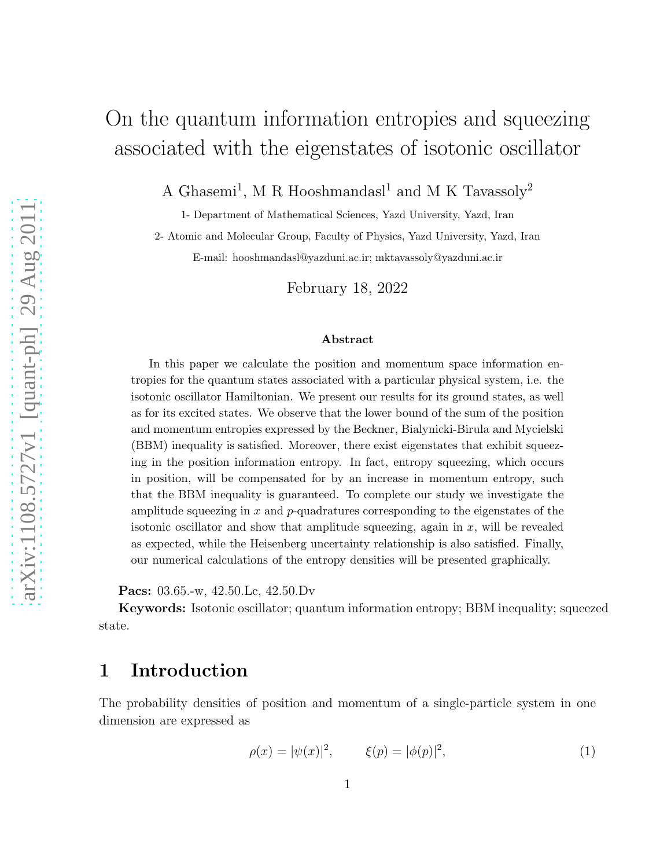# On the quantum information entropies and squeezing associated with the eigenstates of isotonic oscillator

A Ghasemi<sup>1</sup>, M R Hooshmandasl<sup>1</sup> and M K Tavassoly<sup>2</sup>

1- Department of Mathematical Sciences, Yazd University, Yazd, Iran

2- Atomic and Molecular Group, Faculty of Physics, Yazd University, Yazd, Iran E-mail: hooshmandasl@yazduni.ac.ir; mktavassoly@yazduni.ac.ir

February 18, 2022

#### Abstract

In this paper we calculate the position and momentum space information entropies for the quantum states associated with a particular physical system, i.e. the isotonic oscillator Hamiltonian. We present our results for its ground states, as well as for its excited states. We observe that the lower bound of the sum of the position and momentum entropies expressed by the Beckner, Bialynicki-Birula and Mycielski (BBM) inequality is satisfied. Moreover, there exist eigenstates that exhibit squeezing in the position information entropy. In fact, entropy squeezing, which occurs in position, will be compensated for by an increase in momentum entropy, such that the BBM inequality is guaranteed. To complete our study we investigate the amplitude squeezing in  $x$  and  $p$ -quadratures corresponding to the eigenstates of the isotonic oscillator and show that amplitude squeezing, again in  $x$ , will be revealed as expected, while the Heisenberg uncertainty relationship is also satisfied. Finally, our numerical calculations of the entropy densities will be presented graphically.

Pacs: 03.65.-w, 42.50.Lc, 42.50.Dv

Keywords: Isotonic oscillator; quantum information entropy; BBM inequality; squeezed state.

### 1 Introduction

The probability densities of position and momentum of a single-particle system in one dimension are expressed as

$$
\rho(x) = |\psi(x)|^2, \qquad \xi(p) = |\phi(p)|^2, \tag{1}
$$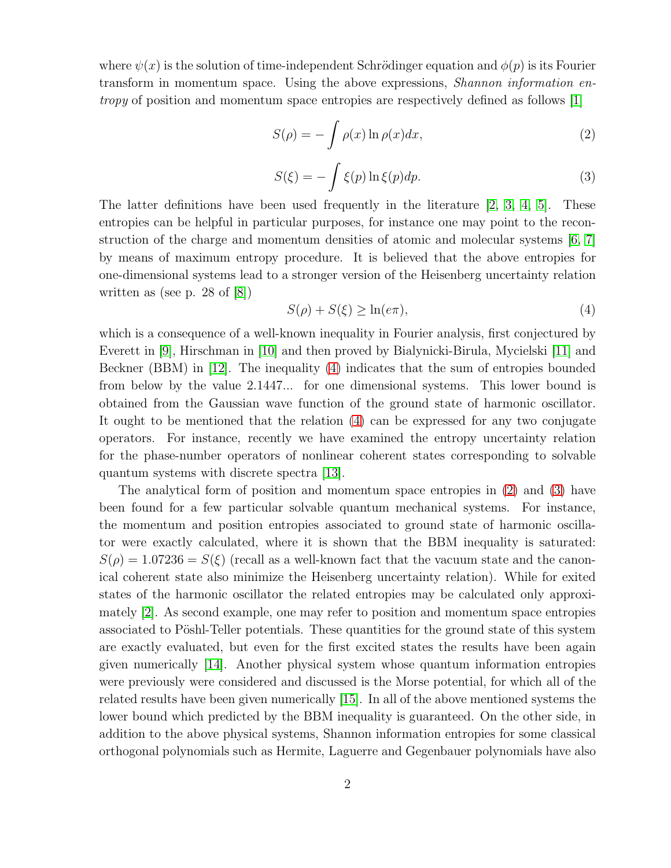where  $\psi(x)$  is the solution of time-independent Schrödinger equation and  $\phi(p)$  is its Fourier transform in momentum space. Using the above expressions, *Shannon information entropy* of position and momentum space entropies are respectively defined as follows [\[1\]](#page-8-0)

<span id="page-1-1"></span>
$$
S(\rho) = -\int \rho(x) \ln \rho(x) dx,
$$
\n(2)

<span id="page-1-2"></span>
$$
S(\xi) = -\int \xi(p) \ln \xi(p) dp.
$$
 (3)

The latter definitions have been used frequently in the literature [\[2,](#page-8-1) [3,](#page-8-2) 4, [5\]](#page-8-3). These entropies can be helpful in particular purposes, for instance one may point to the reconstruction of the charge and momentum densities of atomic and molecular systems [\[6,](#page-9-0) [7\]](#page-9-1) by means of maximum entropy procedure. It is believed that the above entropies for one-dimensional systems lead to a stronger version of the Heisenberg uncertainty relation written as (see p. 28 of [\[8\]](#page-9-2))

<span id="page-1-0"></span>
$$
S(\rho) + S(\xi) \ge \ln(e\pi),\tag{4}
$$

which is a consequence of a well-known inequality in Fourier analysis, first conjectured by Everett in [\[9\]](#page-9-3), Hirschman in [\[10\]](#page-9-4) and then proved by Bialynicki-Birula, Mycielski [\[11\]](#page-9-5) and Beckner (BBM) in [\[12\]](#page-9-6). The inequality [\(4\)](#page-1-0) indicates that the sum of entropies bounded from below by the value 2.1447... for one dimensional systems. This lower bound is obtained from the Gaussian wave function of the ground state of harmonic oscillator. It ought to be mentioned that the relation [\(4\)](#page-1-0) can be expressed for any two conjugate operators. For instance, recently we have examined the entropy uncertainty relation for the phase-number operators of nonlinear coherent states corresponding to solvable quantum systems with discrete spectra [\[13\]](#page-9-7).

The analytical form of position and momentum space entropies in [\(2\)](#page-1-1) and [\(3\)](#page-1-2) have been found for a few particular solvable quantum mechanical systems. For instance, the momentum and position entropies associated to ground state of harmonic oscillator were exactly calculated, where it is shown that the BBM inequality is saturated:  $S(\rho) = 1.07236 = S(\xi)$  (recall as a well-known fact that the vacuum state and the canonical coherent state also minimize the Heisenberg uncertainty relation). While for exited states of the harmonic oscillator the related entropies may be calculated only approximately [\[2\]](#page-8-1). As second example, one may refer to position and momentum space entropies associated to Pöshl-Teller potentials. These quantities for the ground state of this system are exactly evaluated, but even for the first excited states the results have been again given numerically [\[14\]](#page-9-8). Another physical system whose quantum information entropies were previously were considered and discussed is the Morse potential, for which all of the related results have been given numerically [\[15\]](#page-9-9). In all of the above mentioned systems the lower bound which predicted by the BBM inequality is guaranteed. On the other side, in addition to the above physical systems, Shannon information entropies for some classical orthogonal polynomials such as Hermite, Laguerre and Gegenbauer polynomials have also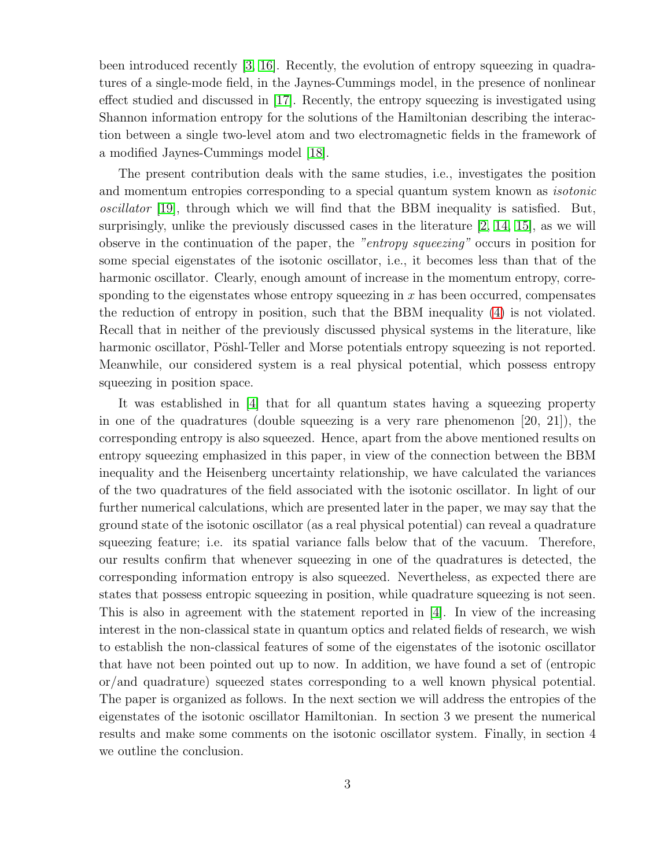been introduced recently [\[3,](#page-8-2) [16\]](#page-9-10). Recently, the evolution of entropy squeezing in quadratures of a single-mode field, in the Jaynes-Cummings model, in the presence of nonlinear effect studied and discussed in [\[17\]](#page-9-11). Recently, the entropy squeezing is investigated using Shannon information entropy for the solutions of the Hamiltonian describing the interaction between a single two-level atom and two electromagnetic fields in the framework of a modified Jaynes-Cummings model [\[18\]](#page-9-12).

The present contribution deals with the same studies, i.e., investigates the position and momentum entropies corresponding to a special quantum system known as *isotonic oscillator* [\[19\]](#page-9-13), through which we will find that the BBM inequality is satisfied. But, surprisingly, unlike the previously discussed cases in the literature [\[2,](#page-8-1) [14,](#page-9-8) [15\]](#page-9-9), as we will observe in the continuation of the paper, the *"entropy squeezing"* occurs in position for some special eigenstates of the isotonic oscillator, i.e., it becomes less than that of the harmonic oscillator. Clearly, enough amount of increase in the momentum entropy, corresponding to the eigenstates whose entropy squeezing in  $x$  has been occurred, compensates the reduction of entropy in position, such that the BBM inequality [\(4\)](#page-1-0) is not violated. Recall that in neither of the previously discussed physical systems in the literature, like harmonic oscillator, Pöshl-Teller and Morse potentials entropy squeezing is not reported. Meanwhile, our considered system is a real physical potential, which possess entropy squeezing in position space.

It was established in [4] that for all quantum states having a squeezing property in one of the quadratures (double squeezing is a very rare phenomenon  $[20, 21]$ ), the corresponding entropy is also squeezed. Hence, apart from the above mentioned results on entropy squeezing emphasized in this paper, in view of the connection between the BBM inequality and the Heisenberg uncertainty relationship, we have calculated the variances of the two quadratures of the field associated with the isotonic oscillator. In light of our further numerical calculations, which are presented later in the paper, we may say that the ground state of the isotonic oscillator (as a real physical potential) can reveal a quadrature squeezing feature; i.e. its spatial variance falls below that of the vacuum. Therefore, our results confirm that whenever squeezing in one of the quadratures is detected, the corresponding information entropy is also squeezed. Nevertheless, as expected there are states that possess entropic squeezing in position, while quadrature squeezing is not seen. This is also in agreement with the statement reported in [4]. In view of the increasing interest in the non-classical state in quantum optics and related fields of research, we wish to establish the non-classical features of some of the eigenstates of the isotonic oscillator that have not been pointed out up to now. In addition, we have found a set of (entropic or/and quadrature) squeezed states corresponding to a well known physical potential. The paper is organized as follows. In the next section we will address the entropies of the eigenstates of the isotonic oscillator Hamiltonian. In section 3 we present the numerical results and make some comments on the isotonic oscillator system. Finally, in section 4 we outline the conclusion.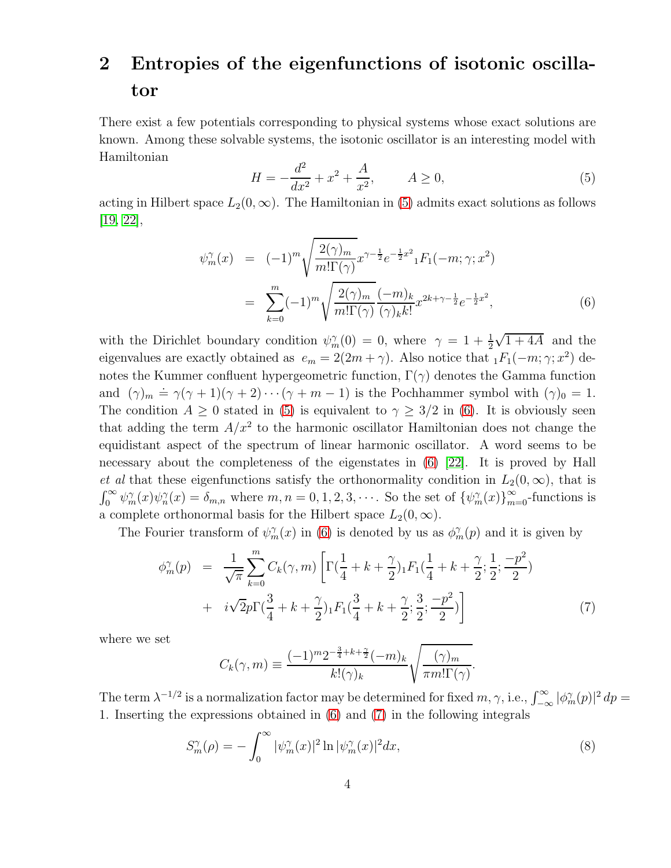## 2 Entropies of the eigenfunctions of isotonic oscillator

There exist a few potentials corresponding to physical systems whose exact solutions are known. Among these solvable systems, the isotonic oscillator is an interesting model with Hamiltonian

<span id="page-3-0"></span>
$$
H = -\frac{d^2}{dx^2} + x^2 + \frac{A}{x^2}, \qquad A \ge 0,
$$
\n(5)

acting in Hilbert space  $L_2(0,\infty)$ . The Hamiltonian in [\(5\)](#page-3-0) admits exact solutions as follows [\[19,](#page-9-13) [22\]](#page-9-14),

<span id="page-3-1"></span>
$$
\psi_m^{\gamma}(x) = (-1)^m \sqrt{\frac{2(\gamma)_m}{m! \Gamma(\gamma)}} x^{\gamma - \frac{1}{2}} e^{-\frac{1}{2}x^2} {}_{1}F_1(-m; \gamma; x^2)
$$

$$
= \sum_{k=0}^m (-1)^m \sqrt{\frac{2(\gamma)_m}{m! \Gamma(\gamma)}} \frac{(-m)_k}{(\gamma)_k k!} x^{2k + \gamma - \frac{1}{2}} e^{-\frac{1}{2}x^2}, \tag{6}
$$

with the Dirichlet boundary condition  $\psi_m^{\gamma}(0) = 0$ , where  $\gamma = 1 + \frac{1}{2}$  $\sqrt{1+4A}$  and the eigenvalues are exactly obtained as  $e_m = 2(2m + \gamma)$ . Also notice that  $_1F_1(-m; \gamma; x^2)$  denotes the Kummer confluent hypergeometric function,  $\Gamma(\gamma)$  denotes the Gamma function and  $(\gamma)_m = \gamma(\gamma + 1)(\gamma + 2) \cdots (\gamma + m - 1)$  is the Pochhammer symbol with  $(\gamma)_0 = 1$ . The condition  $A \geq 0$  stated in [\(5\)](#page-3-0) is equivalent to  $\gamma \geq 3/2$  in [\(6\)](#page-3-1). It is obviously seen that adding the term  $A/x^2$  to the harmonic oscillator Hamiltonian does not change the equidistant aspect of the spectrum of linear harmonic oscillator. A word seems to be necessary about the completeness of the eigenstates in [\(6\)](#page-3-1) [\[22\]](#page-9-14). It is proved by Hall *et al* that these eigenfunctions satisfy the orthonormality condition in  $L_2(0,\infty)$ , that is  $\int_0^\infty \psi_m^\gamma(x) \psi_n^\gamma(x) = \delta_{m,n}$  where  $m, n = 0, 1, 2, 3, \cdots$ . So the set of  $\{\psi_m^\gamma(x)\}_{m=0}^\infty$ -functions is a complete orthonormal basis for the Hilbert space  $L_2(0, \infty)$ .

The Fourier transform of  $\psi_m^{\gamma}(x)$  in [\(6\)](#page-3-1) is denoted by us as  $\phi_m^{\gamma}(p)$  and it is given by

<span id="page-3-2"></span>
$$
\phi_m^{\gamma}(p) = \frac{1}{\sqrt{\pi}} \sum_{k=0}^m C_k(\gamma, m) \left[ \Gamma(\frac{1}{4} + k + \frac{\gamma}{2})_1 F_1(\frac{1}{4} + k + \frac{\gamma}{2}; \frac{1}{2}; \frac{-p^2}{2}) + i\sqrt{2}p \Gamma(\frac{3}{4} + k + \frac{\gamma}{2})_1 F_1(\frac{3}{4} + k + \frac{\gamma}{2}; \frac{3}{2}; \frac{-p^2}{2}) \right]
$$
(7)

where we set

$$
C_k(\gamma, m) \equiv \frac{(-1)^m 2^{-\frac{3}{4} + k + \frac{\gamma}{2}} (-m)_k}{k! (\gamma)_k} \sqrt{\frac{(\gamma)_m}{\pi m! \Gamma(\gamma)}}.
$$

The term  $\lambda^{-1/2}$  is a normalization factor may be determined for fixed  $m, \gamma$ , i.e.,  $\int_{-\infty}^{\infty} |\phi_m^{\gamma}(p)|^2 dp =$ 1. Inserting the expressions obtained in [\(6\)](#page-3-1) and [\(7\)](#page-3-2) in the following integrals

<span id="page-3-3"></span>
$$
S_m^{\gamma}(\rho) = -\int_0^{\infty} |\psi_m^{\gamma}(x)|^2 \ln |\psi_m^{\gamma}(x)|^2 dx,
$$
\n(8)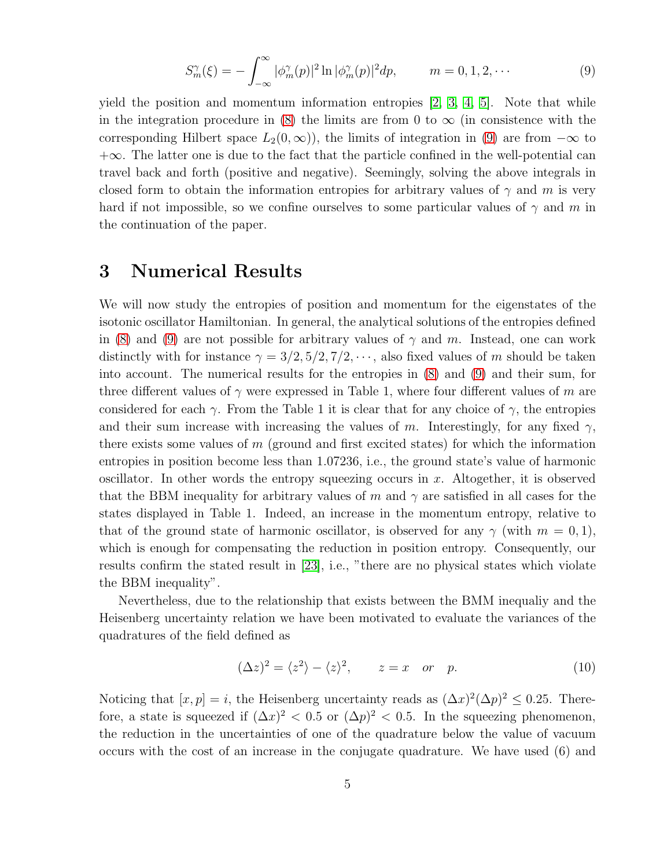<span id="page-4-0"></span>
$$
S_m^{\gamma}(\xi) = -\int_{-\infty}^{\infty} |\phi_m^{\gamma}(p)|^2 \ln |\phi_m^{\gamma}(p)|^2 dp, \qquad m = 0, 1, 2, \cdots
$$
 (9)

yield the position and momentum information entropies  $[2, 3, 4, 5]$  $[2, 3, 4, 5]$  $[2, 3, 4, 5]$  $[2, 3, 4, 5]$ . Note that while in the integration procedure in [\(8\)](#page-3-3) the limits are from 0 to  $\infty$  (in consistence with the corresponding Hilbert space  $L_2(0,\infty)$ , the limits of integration in [\(9\)](#page-4-0) are from  $-\infty$  to  $+\infty$ . The latter one is due to the fact that the particle confined in the well-potential can travel back and forth (positive and negative). Seemingly, solving the above integrals in closed form to obtain the information entropies for arbitrary values of  $\gamma$  and m is very hard if not impossible, so we confine ourselves to some particular values of  $\gamma$  and m in the continuation of the paper.

#### 3 Numerical Results

We will now study the entropies of position and momentum for the eigenstates of the isotonic oscillator Hamiltonian. In general, the analytical solutions of the entropies defined in [\(8\)](#page-3-3) and [\(9\)](#page-4-0) are not possible for arbitrary values of  $\gamma$  and m. Instead, one can work distinctly with for instance  $\gamma = 3/2, 5/2, 7/2, \cdots$ , also fixed values of m should be taken into account. The numerical results for the entropies in [\(8\)](#page-3-3) and [\(9\)](#page-4-0) and their sum, for three different values of  $\gamma$  were expressed in Table 1, where four different values of m are considered for each  $\gamma$ . From the Table 1 it is clear that for any choice of  $\gamma$ , the entropies and their sum increase with increasing the values of m. Interestingly, for any fixed  $\gamma$ , there exists some values of  $m$  (ground and first excited states) for which the information entropies in position become less than 1.07236, i.e., the ground state's value of harmonic oscillator. In other words the entropy squeezing occurs in x. Altogether, it is observed that the BBM inequality for arbitrary values of m and  $\gamma$  are satisfied in all cases for the states displayed in Table 1. Indeed, an increase in the momentum entropy, relative to that of the ground state of harmonic oscillator, is observed for any  $\gamma$  (with  $m = 0, 1$ ), which is enough for compensating the reduction in position entropy. Consequently, our results confirm the stated result in [\[23\]](#page-10-0), i.e., "there are no physical states which violate the BBM inequality".

Nevertheless, due to the relationship that exists between the BMM inequaliy and the Heisenberg uncertainty relation we have been motivated to evaluate the variances of the quadratures of the field defined as

$$
(\Delta z)^2 = \langle z^2 \rangle - \langle z \rangle^2, \qquad z = x \quad or \quad p. \tag{10}
$$

Noticing that  $[x, p] = i$ , the Heisenberg uncertainty reads as  $(\Delta x)^2 (\Delta p)^2 \leq 0.25$ . Therefore, a state is squeezed if  $(\Delta x)^2 < 0.5$  or  $(\Delta p)^2 < 0.5$ . In the squeezing phenomenon, the reduction in the uncertainties of one of the quadrature below the value of vacuum occurs with the cost of an increase in the conjugate quadrature. We have used (6) and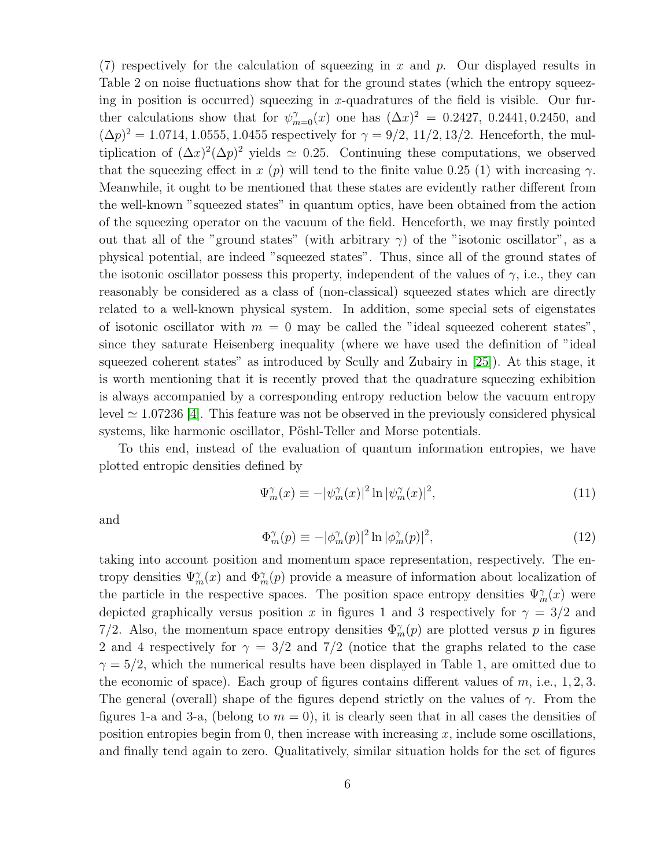(7) respectively for the calculation of squeezing in x and p. Our displayed results in Table 2 on noise fluctuations show that for the ground states (which the entropy squeezing in position is occurred) squeezing in x-quadratures of the field is visible. Our further calculations show that for  $\psi_{m=0}^{\gamma}(x)$  one has  $(\Delta x)^2 = 0.2427, 0.2441, 0.2450,$  and  $(\Delta p)^2 = 1.0714, 1.0555, 1.0455$  respectively for  $\gamma = 9/2, 11/2, 13/2$ . Henceforth, the multiplication of  $(\Delta x)^2(\Delta p)^2$  yields  $\simeq 0.25$ . Continuing these computations, we observed that the squeezing effect in x (p) will tend to the finite value 0.25 (1) with increasing  $\gamma$ . Meanwhile, it ought to be mentioned that these states are evidently rather different from the well-known "squeezed states" in quantum optics, have been obtained from the action of the squeezing operator on the vacuum of the field. Henceforth, we may firstly pointed out that all of the "ground states" (with arbitrary  $\gamma$ ) of the "isotonic oscillator", as a physical potential, are indeed "squeezed states". Thus, since all of the ground states of the isotonic oscillator possess this property, independent of the values of  $\gamma$ , i.e., they can reasonably be considered as a class of (non-classical) squeezed states which are directly related to a well-known physical system. In addition, some special sets of eigenstates of isotonic oscillator with  $m = 0$  may be called the "ideal squeezed coherent states", since they saturate Heisenberg inequality (where we have used the definition of "ideal squeezed coherent states" as introduced by Scully and Zubairy in [25]). At this stage, it is worth mentioning that it is recently proved that the quadrature squeezing exhibition is always accompanied by a corresponding entropy reduction below the vacuum entropy level  $\simeq$  1.07236 [4]. This feature was not be observed in the previously considered physical systems, like harmonic oscillator, Pöshl-Teller and Morse potentials.

To this end, instead of the evaluation of quantum information entropies, we have plotted entropic densities defined by

$$
\Psi_m^{\gamma}(x) \equiv -|\psi_m^{\gamma}(x)|^2 \ln |\psi_m^{\gamma}(x)|^2,
$$
\n(11)

and

$$
\Phi_m^{\gamma}(p) \equiv -|\phi_m^{\gamma}(p)|^2 \ln |\phi_m^{\gamma}(p)|^2,\tag{12}
$$

taking into account position and momentum space representation, respectively. The entropy densities  $\Psi_m^{\gamma}(x)$  and  $\Phi_m^{\gamma}(p)$  provide a measure of information about localization of the particle in the respective spaces. The position space entropy densities  $\Psi_m^{\gamma}(x)$  were depicted graphically versus position x in figures 1 and 3 respectively for  $\gamma = 3/2$  and 7/2. Also, the momentum space entropy densities  $\Phi_m^{\gamma}(p)$  are plotted versus p in figures 2 and 4 respectively for  $\gamma = 3/2$  and 7/2 (notice that the graphs related to the case  $\gamma = 5/2$ , which the numerical results have been displayed in Table 1, are omitted due to the economic of space). Each group of figures contains different values of  $m$ , i.e., 1, 2, 3. The general (overall) shape of the figures depend strictly on the values of  $\gamma$ . From the figures 1-a and 3-a, (belong to  $m = 0$ ), it is clearly seen that in all cases the densities of position entropies begin from 0, then increase with increasing  $x$ , include some oscillations, and finally tend again to zero. Qualitatively, similar situation holds for the set of figures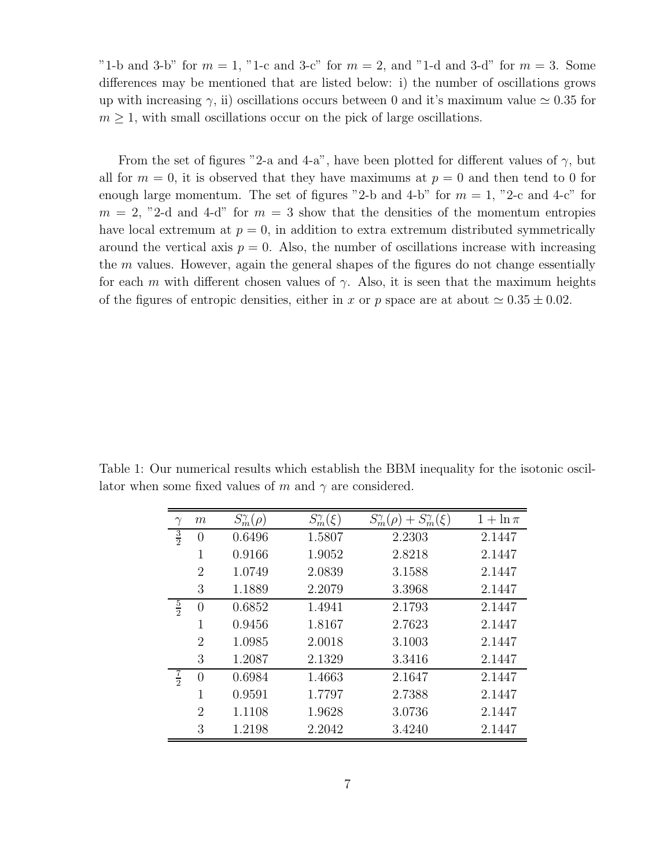"1-b and 3-b" for  $m = 1$ , "1-c and 3-c" for  $m = 2$ , and "1-d and 3-d" for  $m = 3$ . Some differences may be mentioned that are listed below: i) the number of oscillations grows up with increasing  $\gamma$ , ii) oscillations occurs between 0 and it's maximum value  $\simeq 0.35$  for  $m \geq 1$ , with small oscillations occur on the pick of large oscillations.

From the set of figures "2-a and 4-a", have been plotted for different values of  $\gamma$ , but all for  $m = 0$ , it is observed that they have maximums at  $p = 0$  and then tend to 0 for enough large momentum. The set of figures "2-b and 4-b" for  $m = 1$ , "2-c and 4-c" for  $m = 2$ , "2-d and 4-d" for  $m = 3$  show that the densities of the momentum entropies have local extremum at  $p = 0$ , in addition to extra extremum distributed symmetrically around the vertical axis  $p = 0$ . Also, the number of oscillations increase with increasing the  $m$  values. However, again the general shapes of the figures do not change essentially for each m with different chosen values of  $\gamma$ . Also, it is seen that the maximum heights of the figures of entropic densities, either in x or p space are at about  $\simeq 0.35 \pm 0.02$ .

Table 1: Our numerical results which establish the BBM inequality for the isotonic oscillator when some fixed values of m and  $\gamma$  are considered.

| $\gamma$      | $\,m$          | $S_m^{\gamma}(\rho)$ | $S_m^{\gamma}(\xi)$ | $S_m^{\gamma}(\rho) + S_m^{\gamma}(\xi)$ | $1 + \ln \pi$ |
|---------------|----------------|----------------------|---------------------|------------------------------------------|---------------|
| $\frac{3}{2}$ | $\overline{0}$ | 0.6496               | 1.5807              | 2.2303                                   | 2.1447        |
|               | 1              | 0.9166               | 1.9052              | 2.8218                                   | 2.1447        |
|               | $\overline{2}$ | 1.0749               | 2.0839              | 3.1588                                   | 2.1447        |
|               | 3              | 1.1889               | 2.2079              | 3.3968                                   | 2.1447        |
| $\frac{5}{2}$ | 0              | 0.6852               | 1.4941              | 2.1793                                   | 2.1447        |
|               | 1              | 0.9456               | 1.8167              | 2.7623                                   | 2.1447        |
|               | 2              | 1.0985               | 2.0018              | 3.1003                                   | 2.1447        |
|               | 3              | 1.2087               | 2.1329              | 3.3416                                   | 2.1447        |
| $\frac{7}{2}$ | 0              | 0.6984               | 1.4663              | 2.1647                                   | 2.1447        |
|               | 1              | 0.9591               | 1.7797              | 2.7388                                   | 2.1447        |
|               | $\overline{2}$ | 1.1108               | 1.9628              | 3.0736                                   | 2.1447        |
|               | 3              | 1.2198               | 2.2042              | 3.4240                                   | 2.1447        |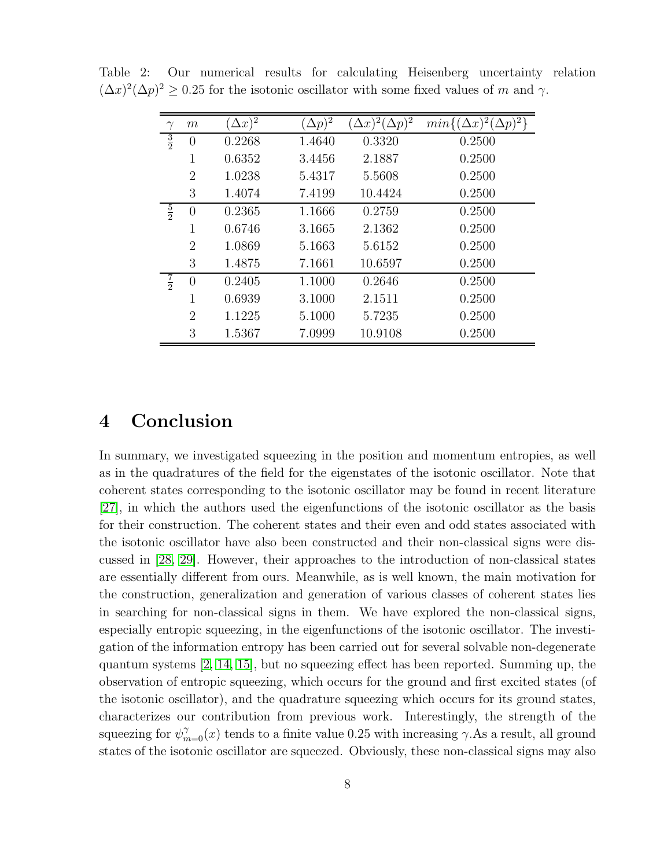|               | $m\,$            | $(\Delta x)^2$ | $(\Delta p)^{\frac{1}{2}}$ | $(\Delta x)^2(\Delta p)^2$ | $min\{(\Delta x)^2($ |
|---------------|------------------|----------------|----------------------------|----------------------------|----------------------|
| $\frac{3}{2}$ | $\left( \right)$ | 0.2268         | 1.4640                     | 0.3320                     | 0.2500               |
|               | 1                | 0.6352         | 3.4456                     | 2.1887                     | 0.2500               |
|               | $\overline{2}$   | 1.0238         | 5.4317                     | 5.5608                     | 0.2500               |
|               | 3                | 1.4074         | 7.4199                     | 10.4424                    | 0.2500               |
| $\frac{5}{2}$ | $\overline{0}$   | 0.2365         | 1.1666                     | 0.2759                     | 0.2500               |
|               | 1                | 0.6746         | 3.1665                     | 2.1362                     | 0.2500               |
|               | $\overline{2}$   | 1.0869         | 5.1663                     | 5.6152                     | 0.2500               |
|               | 3                | 1.4875         | 7.1661                     | 10.6597                    | 0.2500               |
| $rac{7}{2}$   | $\Omega$         | 0.2405         | 1.1000                     | 0.2646                     | 0.2500               |
|               | 1                | 0.6939         | 3.1000                     | 2.1511                     | 0.2500               |
|               | 2                | 1.1225         | 5.1000                     | 5.7235                     | 0.2500               |
|               | 3                | 1.5367         | 7.0999                     | 10.9108                    | 0.2500               |

Table 2: Our numerical results for calculating Heisenberg uncertainty relation  $(\Delta x)^2(\Delta p)^2 \ge 0.25$  for the isotonic oscillator with some fixed values of m and  $\gamma$ .

#### 4 Conclusion

In summary, we investigated squeezing in the position and momentum entropies, as well as in the quadratures of the field for the eigenstates of the isotonic oscillator. Note that coherent states corresponding to the isotonic oscillator may be found in recent literature [\[27\]](#page-10-1), in which the authors used the eigenfunctions of the isotonic oscillator as the basis for their construction. The coherent states and their even and odd states associated with the isotonic oscillator have also been constructed and their non-classical signs were discussed in [\[28,](#page-10-2) [29\]](#page-10-3). However, their approaches to the introduction of non-classical states are essentially different from ours. Meanwhile, as is well known, the main motivation for the construction, generalization and generation of various classes of coherent states lies in searching for non-classical signs in them. We have explored the non-classical signs, especially entropic squeezing, in the eigenfunctions of the isotonic oscillator. The investigation of the information entropy has been carried out for several solvable non-degenerate quantum systems [\[2,](#page-8-1) [14,](#page-9-8) [15\]](#page-9-9), but no squeezing effect has been reported. Summing up, the observation of entropic squeezing, which occurs for the ground and first excited states (of the isotonic oscillator), and the quadrature squeezing which occurs for its ground states, characterizes our contribution from previous work. Interestingly, the strength of the squeezing for  $\psi_{m=0}^{\gamma}(x)$  tends to a finite value 0.25 with increasing  $\gamma$ . As a result, all ground states of the isotonic oscillator are squeezed. Obviously, these non-classical signs may also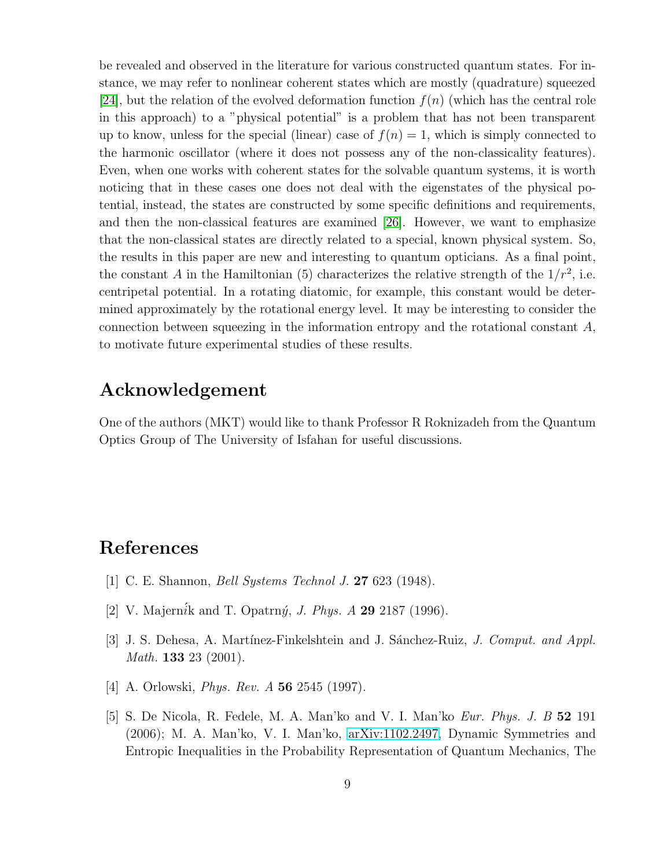be revealed and observed in the literature for various constructed quantum states. For instance, we may refer to nonlinear coherent states which are mostly (quadrature) squeezed [\[24\]](#page-10-4), but the relation of the evolved deformation function  $f(n)$  (which has the central role in this approach) to a "physical potential" is a problem that has not been transparent up to know, unless for the special (linear) case of  $f(n) = 1$ , which is simply connected to the harmonic oscillator (where it does not possess any of the non-classicality features). Even, when one works with coherent states for the solvable quantum systems, it is worth noticing that in these cases one does not deal with the eigenstates of the physical potential, instead, the states are constructed by some specific definitions and requirements, and then the non-classical features are examined [\[26\]](#page-10-5). However, we want to emphasize that the non-classical states are directly related to a special, known physical system. So, the results in this paper are new and interesting to quantum opticians. As a final point, the constant A in the Hamiltonian (5) characterizes the relative strength of the  $1/r^2$ , i.e. centripetal potential. In a rotating diatomic, for example, this constant would be determined approximately by the rotational energy level. It may be interesting to consider the connection between squeezing in the information entropy and the rotational constant  $A$ , to motivate future experimental studies of these results.

#### Acknowledgement

One of the authors (MKT) would like to thank Professor R Roknizadeh from the Quantum Optics Group of The University of Isfahan for useful discussions.

## <span id="page-8-0"></span>References

- <span id="page-8-1"></span>[1] C. E. Shannon, *Bell Systems Technol J.* 27 623 (1948).
- <span id="page-8-2"></span>[2] V. Majern $i$ k and T. Opatrn $\acute{y}$ , *J. Phys. A* **29** 2187 (1996).
- [3] J. S. Dehesa, A. Martínez-Finkelshtein and J. Sánchez-Ruiz, *J. Comput. and Appl. Math.* 133 23 (2001).
- <span id="page-8-3"></span>[4] A. Orlowski, *Phys. Rev. A* 56 2545 (1997).
- [5] S. De Nicola, R. Fedele, M. A. Man'ko and V. I. Man'ko *Eur. Phys. J. B* 52 191 (2006); M. A. Man'ko, V. I. Man'ko, [arXiv:1102.2497,](http://arxiv.org/abs/1102.2497) Dynamic Symmetries and Entropic Inequalities in the Probability Representation of Quantum Mechanics, The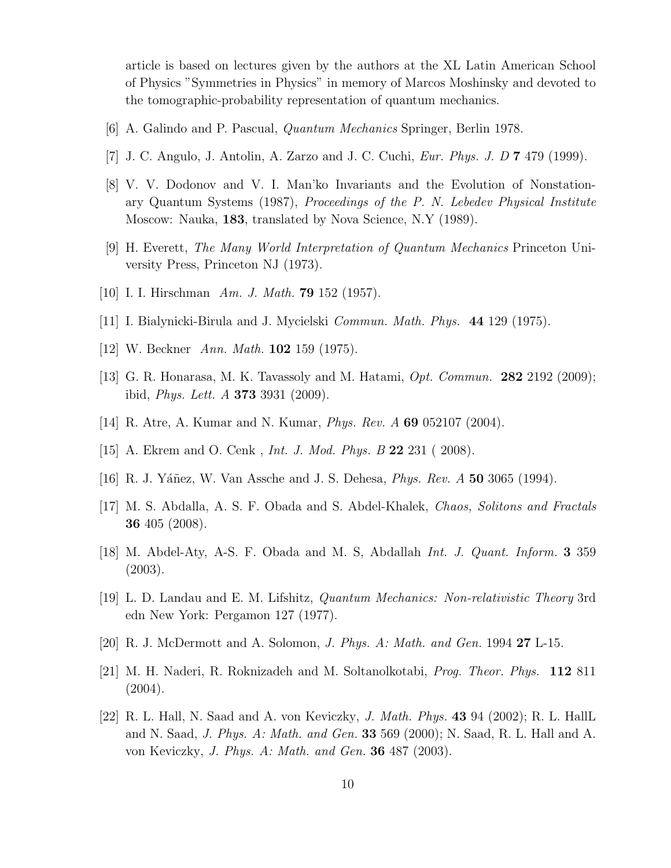article is based on lectures given by the authors at the XL Latin American School of Physics "Symmetries in Physics" in memory of Marcos Moshinsky and devoted to the tomographic-probability representation of quantum mechanics.

- <span id="page-9-1"></span><span id="page-9-0"></span>[6] A. Galindo and P. Pascual, *Quantum Mechanics* Springer, Berlin 1978.
- <span id="page-9-2"></span>[7] J. C. Angulo, J. Antolin, A. Zarzo and J. C. Cuchi, *Eur. Phys. J. D* 7 479 (1999).
- [8] V. V. Dodonov and V. I. Man'ko Invariants and the Evolution of Nonstationary Quantum Systems (1987), *Proceedings of the P. N. Lebedev Physical Institute* Moscow: Nauka, 183, translated by Nova Science, N.Y (1989).
- <span id="page-9-4"></span><span id="page-9-3"></span>[9] H. Everett, *The Many World Interpretation of Quantum Mechanics* Princeton University Press, Princeton NJ (1973).
- <span id="page-9-5"></span>[10] I. I. Hirschman *Am. J. Math.* 79 152 (1957).
- <span id="page-9-6"></span>[11] I. Bialynicki-Birula and J. Mycielski *Commun. Math. Phys.* 44 129 (1975).
- <span id="page-9-7"></span>[12] W. Beckner *Ann. Math.* 102 159 (1975).
- <span id="page-9-8"></span>[13] G. R. Honarasa, M. K. Tavassoly and M. Hatami, *Opt. Commun.* 282 2192 (2009); ibid, *Phys. Lett. A* 373 3931 (2009).
- <span id="page-9-9"></span>[14] R. Atre, A. Kumar and N. Kumar, *Phys. Rev. A* 69 052107 (2004).
- <span id="page-9-10"></span>[15] A. Ekrem and O. Cenk , *Int. J. Mod. Phys. B* 22 231 ( 2008).
- <span id="page-9-11"></span>[16] R. J. Y´a˜nez, W. Van Assche and J. S. Dehesa, *Phys. Rev. A* 50 3065 (1994).
- <span id="page-9-12"></span>[17] M. S. Abdalla, A. S. F. Obada and S. Abdel-Khalek, *Chaos, Solitons and Fractals* 36 405 (2008).
- <span id="page-9-13"></span>[18] M. Abdel-Aty, A-S. F. Obada and M. S, Abdallah *Int. J. Quant. Inform.* 3 359 (2003).
- [19] L. D. Landau and E. M. Lifshitz, *Quantum Mechanics: Non-relativistic Theory* 3rd edn New York: Pergamon 127 (1977).
- [20] R. J. McDermott and A. Solomon, *J. Phys. A: Math. and Gen.* 1994 27 L-15.
- <span id="page-9-14"></span>[21] M. H. Naderi, R. Roknizadeh and M. Soltanolkotabi, *Prog. Theor. Phys.* 112 811 (2004).
- [22] R. L. Hall, N. Saad and A. von Keviczky, *J. Math. Phys.* 43 94 (2002); R. L. HallL and N. Saad, *J. Phys. A: Math. and Gen.* 33 569 (2000); N. Saad, R. L. Hall and A. von Keviczky, *J. Phys. A: Math. and Gen.* 36 487 (2003).